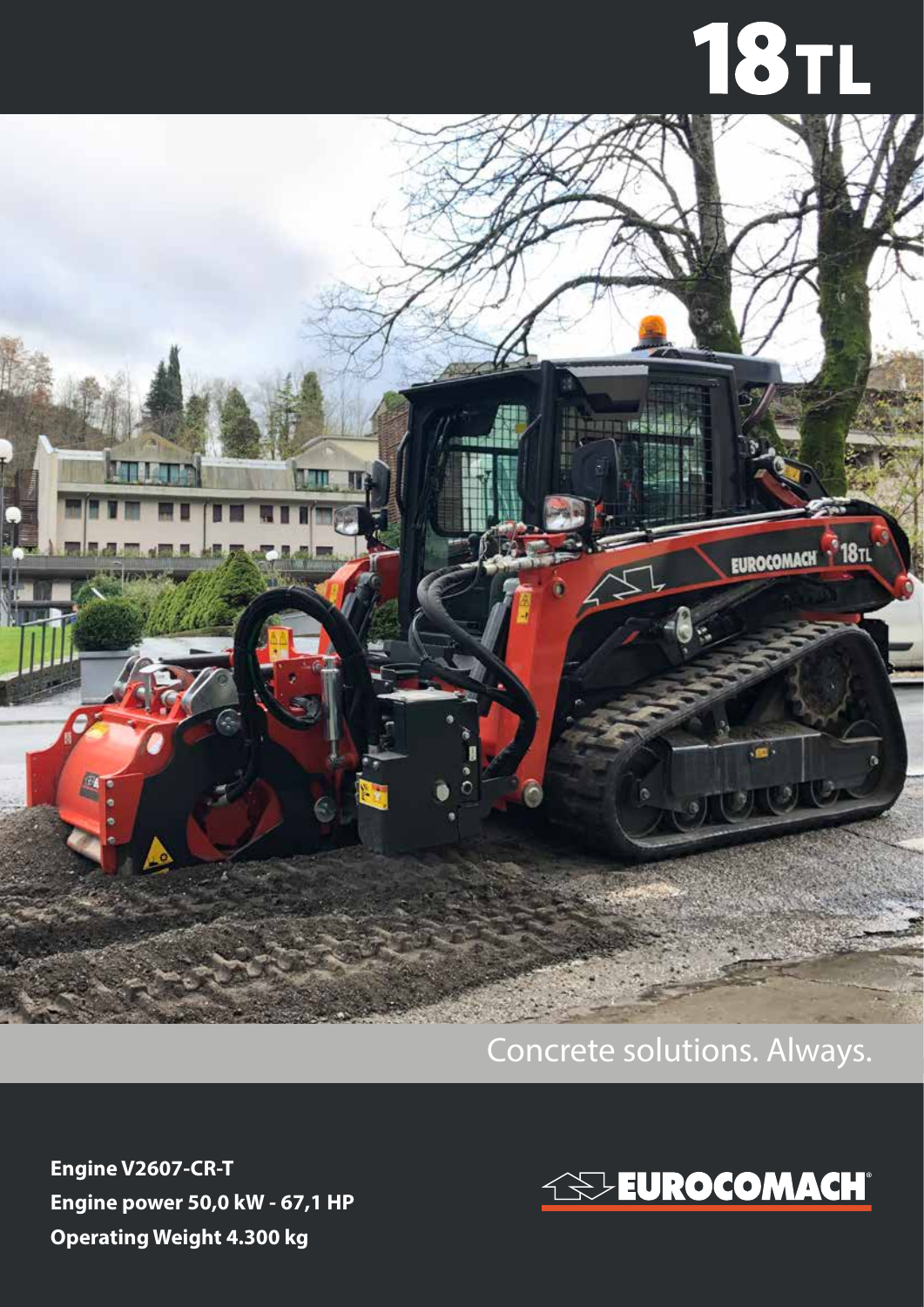## **18TL**



## Concrete solutions. Always.

**Engine V2607-CR-T Engine power 50,0 kW - 67,1 HP Operating Weight 4.300 kg**